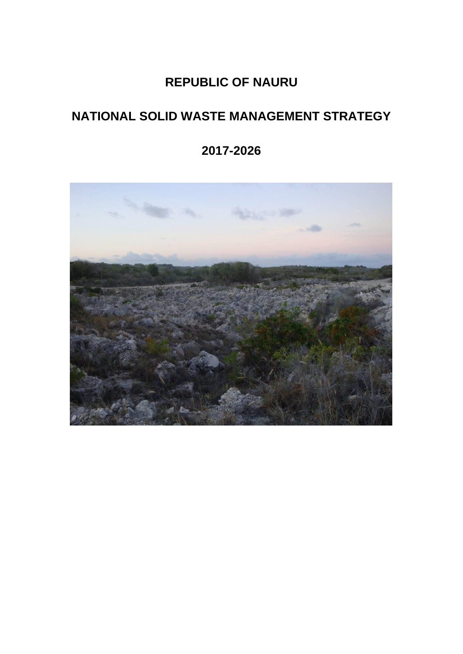# **REPUBLIC OF NAURU**

# **NATIONAL SOLID WASTE MANAGEMENT STRATEGY**

**2017-2026**

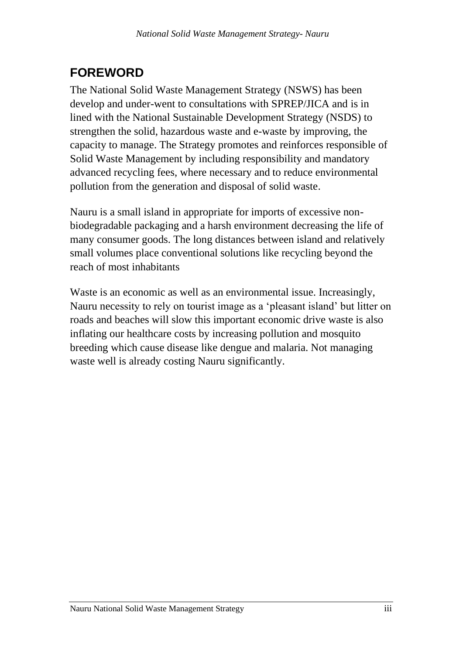# <span id="page-2-0"></span>**FOREWORD**

The National Solid Waste Management Strategy (NSWS) has been develop and under-went to consultations with SPREP/JICA and is in lined with the National Sustainable Development Strategy (NSDS) to strengthen the solid, hazardous waste and e-waste by improving, the capacity to manage. The Strategy promotes and reinforces responsible of Solid Waste Management by including responsibility and mandatory advanced recycling fees, where necessary and to reduce environmental pollution from the generation and disposal of solid waste.

Nauru is a small island in appropriate for imports of excessive nonbiodegradable packaging and a harsh environment decreasing the life of many consumer goods. The long distances between island and relatively small volumes place conventional solutions like recycling beyond the reach of most inhabitants

Waste is an economic as well as an environmental issue. Increasingly, Nauru necessity to rely on tourist image as a 'pleasant island' but litter on roads and beaches will slow this important economic drive waste is also inflating our healthcare costs by increasing pollution and mosquito breeding which cause disease like dengue and malaria. Not managing waste well is already costing Nauru significantly.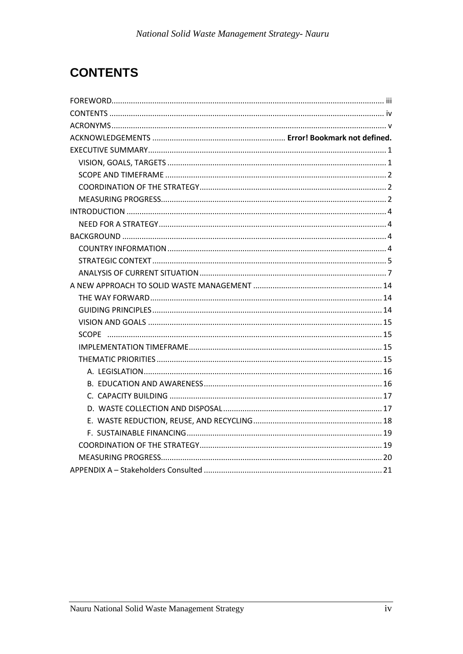# <span id="page-3-0"></span>**CONTENTS**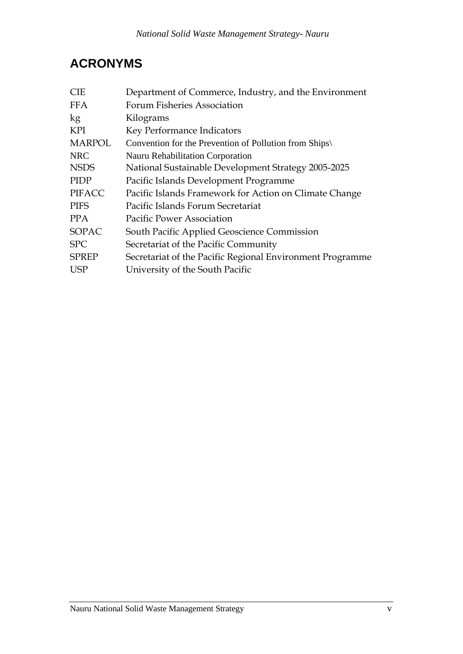# <span id="page-4-0"></span>**ACRONYMS**

| Department of Commerce, Industry, and the Environment     |
|-----------------------------------------------------------|
| Forum Fisheries Association                               |
| Kilograms                                                 |
| Key Performance Indicators                                |
| Convention for the Prevention of Pollution from Ships     |
| Nauru Rehabilitation Corporation                          |
| National Sustainable Development Strategy 2005-2025       |
| Pacific Islands Development Programme                     |
| Pacific Islands Framework for Action on Climate Change    |
| Pacific Islands Forum Secretariat                         |
| <b>Pacific Power Association</b>                          |
| South Pacific Applied Geoscience Commission               |
| Secretariat of the Pacific Community                      |
| Secretariat of the Pacific Regional Environment Programme |
| University of the South Pacific                           |
|                                                           |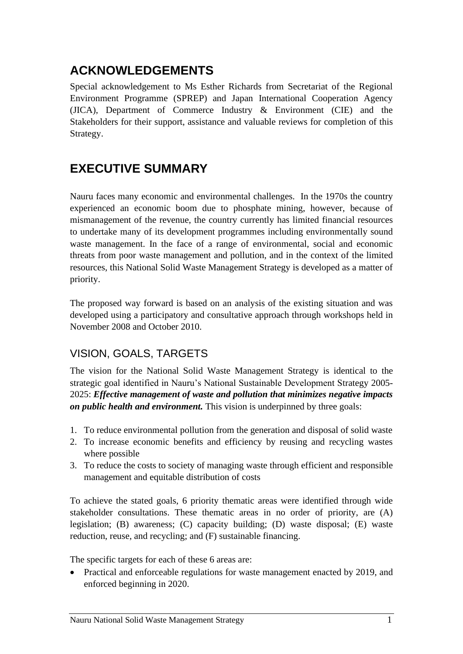# <span id="page-6-0"></span>**ACKNOWLEDGEMENTS**

Special acknowledgement to Ms Esther Richards from Secretariat of the Regional Environment Programme (SPREP) and Japan International Cooperation Agency (JICA), Department of Commerce Industry & Environment (CIE) and the Stakeholders for their support, assistance and valuable reviews for completion of this Strategy.

# **EXECUTIVE SUMMARY**

Nauru faces many economic and environmental challenges. In the 1970s the country experienced an economic boom due to phosphate mining, however, because of mismanagement of the revenue, the country currently has limited financial resources to undertake many of its development programmes including environmentally sound waste management. In the face of a range of environmental, social and economic threats from poor waste management and pollution, and in the context of the limited resources, this National Solid Waste Management Strategy is developed as a matter of priority.

The proposed way forward is based on an analysis of the existing situation and was developed using a participatory and consultative approach through workshops held in November 2008 and October 2010.

# <span id="page-6-1"></span>VISION, GOALS, TARGETS

The vision for the National Solid Waste Management Strategy is identical to the strategic goal identified in Nauru's National Sustainable Development Strategy 2005- 2025: *Effective management of waste and pollution that minimizes negative impacts on public health and environment.* This vision is underpinned by three goals:

- 1. To reduce environmental pollution from the generation and disposal of solid waste
- 2. To increase economic benefits and efficiency by reusing and recycling wastes where possible
- 3. To reduce the costs to society of managing waste through efficient and responsible management and equitable distribution of costs

To achieve the stated goals, 6 priority thematic areas were identified through wide stakeholder consultations. These thematic areas in no order of priority, are (A) legislation; (B) awareness; (C) capacity building; (D) waste disposal; (E) waste reduction, reuse, and recycling; and (F) sustainable financing.

The specific targets for each of these 6 areas are:

• Practical and enforceable regulations for waste management enacted by 2019, and enforced beginning in 2020.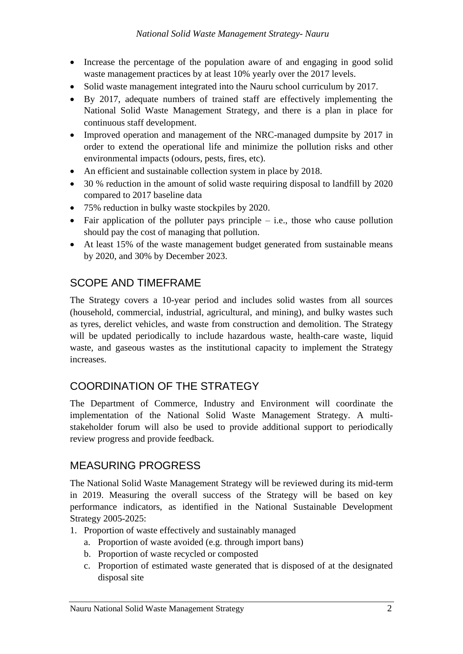- Increase the percentage of the population aware of and engaging in good solid waste management practices by at least 10% yearly over the 2017 levels.
- Solid waste management integrated into the Nauru school curriculum by 2017.
- By 2017, adequate numbers of trained staff are effectively implementing the National Solid Waste Management Strategy, and there is a plan in place for continuous staff development.
- Improved operation and management of the NRC-managed dumpsite by 2017 in order to extend the operational life and minimize the pollution risks and other environmental impacts (odours, pests, fires, etc).
- An efficient and sustainable collection system in place by 2018.
- 30 % reduction in the amount of solid waste requiring disposal to landfill by 2020 compared to 2017 baseline data
- 75% reduction in bulky waste stockpiles by 2020.
- Fair application of the polluter pays principle  $-$  i.e., those who cause pollution should pay the cost of managing that pollution.
- At least 15% of the waste management budget generated from sustainable means by 2020, and 30% by December 2023.

## <span id="page-7-0"></span>SCOPE AND TIMEFRAME

The Strategy covers a 10-year period and includes solid wastes from all sources (household, commercial, industrial, agricultural, and mining), and bulky wastes such as tyres, derelict vehicles, and waste from construction and demolition. The Strategy will be updated periodically to include hazardous waste, health-care waste, liquid waste, and gaseous wastes as the institutional capacity to implement the Strategy increases.

## <span id="page-7-1"></span>COORDINATION OF THE STRATEGY

The Department of Commerce, Industry and Environment will coordinate the implementation of the National Solid Waste Management Strategy. A multistakeholder forum will also be used to provide additional support to periodically review progress and provide feedback.

### <span id="page-7-2"></span>MEASURING PROGRESS

The National Solid Waste Management Strategy will be reviewed during its mid-term in 2019. Measuring the overall success of the Strategy will be based on key performance indicators, as identified in the National Sustainable Development Strategy 2005-2025:

- 1. Proportion of waste effectively and sustainably managed
	- a. Proportion of waste avoided (e.g. through import bans)
	- b. Proportion of waste recycled or composted
	- c. Proportion of estimated waste generated that is disposed of at the designated disposal site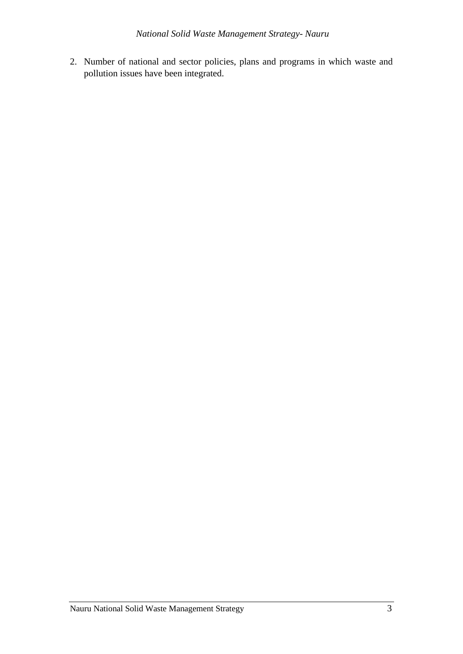2. Number of national and sector policies, plans and programs in which waste and pollution issues have been integrated.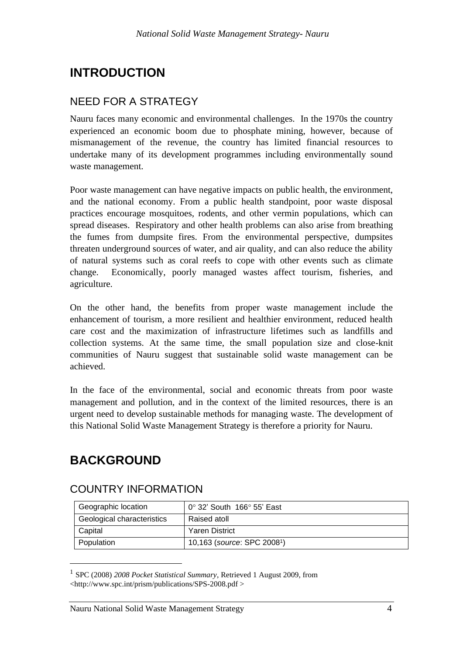# <span id="page-9-0"></span>**INTRODUCTION**

## <span id="page-9-1"></span>NEED FOR A STRATEGY

Nauru faces many economic and environmental challenges. In the 1970s the country experienced an economic boom due to phosphate mining, however, because of mismanagement of the revenue, the country has limited financial resources to undertake many of its development programmes including environmentally sound waste management.

Poor waste management can have negative impacts on public health, the environment, and the national economy. From a public health standpoint, poor waste disposal practices encourage mosquitoes, rodents, and other vermin populations, which can spread diseases. Respiratory and other health problems can also arise from breathing the fumes from dumpsite fires. From the environmental perspective, dumpsites threaten underground sources of water, and air quality, and can also reduce the ability of natural systems such as coral reefs to cope with other events such as climate change. Economically, poorly managed wastes affect tourism, fisheries, and agriculture.

On the other hand, the benefits from proper waste management include the enhancement of tourism, a more resilient and healthier environment, reduced health care cost and the maximization of infrastructure lifetimes such as landfills and collection systems. At the same time, the small population size and close-knit communities of Nauru suggest that sustainable solid waste management can be achieved.

In the face of the environmental, social and economic threats from poor waste management and pollution, and in the context of the limited resources, there is an urgent need to develop sustainable methods for managing waste. The development of this National Solid Waste Management Strategy is therefore a priority for Nauru.

# <span id="page-9-2"></span>**BACKGROUND**

### <span id="page-9-3"></span>COUNTRY INFORMATION

| Geographic location        | $0^{\circ}$ 32' South 166 $^{\circ}$ 55' East |
|----------------------------|-----------------------------------------------|
| Geological characteristics | Raised atoll                                  |
| Capital                    | Yaren District                                |
| Population                 | 10,163 (source: SPC 20081)                    |

<sup>&</sup>lt;sup>1</sup> SPC (2008) *2008 Pocket Statistical Summary*, Retrieved 1 August 2009, from <http://www.spc.int/prism/publications/SPS-2008.pdf >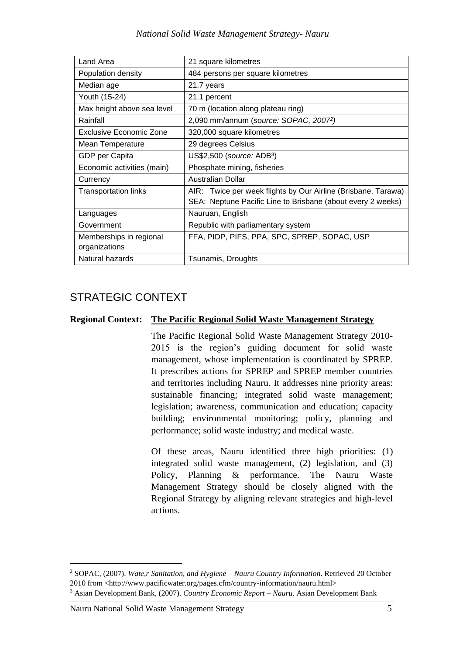#### *National Solid Waste Management Strategy- Nauru*

| Land Area                   | 21 square kilometres                                          |
|-----------------------------|---------------------------------------------------------------|
| Population density          | 484 persons per square kilometres                             |
| Median age                  | 21.7 years                                                    |
| Youth (15-24)               | 21.1 percent                                                  |
| Max height above sea level  | 70 m (location along plateau ring)                            |
| Rainfall                    | 2,090 mm/annum (source: SOPAC, 2007 <sup>2</sup> )            |
| Exclusive Economic Zone     | 320,000 square kilometres                                     |
| Mean Temperature            | 29 degrees Celsius                                            |
| GDP per Capita              | US\$2,500 (source: ADB <sup>3</sup> )                         |
| Economic activities (main)  | Phosphate mining, fisheries                                   |
| Currency                    | Australian Dollar                                             |
| <b>Transportation links</b> | AIR: Twice per week flights by Our Airline (Brisbane, Tarawa) |
|                             | SEA: Neptune Pacific Line to Brisbane (about every 2 weeks)   |
| Languages                   | Nauruan, English                                              |
| Government                  | Republic with parliamentary system                            |
| Memberships in regional     | FFA, PIDP, PIFS, PPA, SPC, SPREP, SOPAC, USP                  |
| organizations               |                                                               |
| Natural hazards             | Tsunamis, Droughts                                            |

## <span id="page-10-0"></span>STRATEGIC CONTEXT

#### **Regional Context: The Pacific Regional Solid Waste Management Strategy**

The Pacific Regional Solid Waste Management Strategy 2010- 2015 is the region's guiding document for solid waste management, whose implementation is coordinated by SPREP. It prescribes actions for SPREP and SPREP member countries and territories including Nauru. It addresses nine priority areas: sustainable financing; integrated solid waste management; legislation; awareness, communication and education; capacity building; environmental monitoring; policy, planning and performance; solid waste industry; and medical waste.

Of these areas, Nauru identified three high priorities: (1) integrated solid waste management, (2) legislation, and (3) Policy, Planning & performance. The Nauru Waste Management Strategy should be closely aligned with the Regional Strategy by aligning relevant strategies and high-level actions.

Nauru National Solid Waste Management Strategy 5

<sup>2</sup> SOPAC, (2007). *Wate,r Sanitation, and Hygiene – Nauru Country Information*. Retrieved 20 October 2010 from <http://www.pacificwater.org/pages.cfm/country-information/nauru.html>

<sup>3</sup> Asian Development Bank, (2007). *Country Economic Report – Nauru*. Asian Development Bank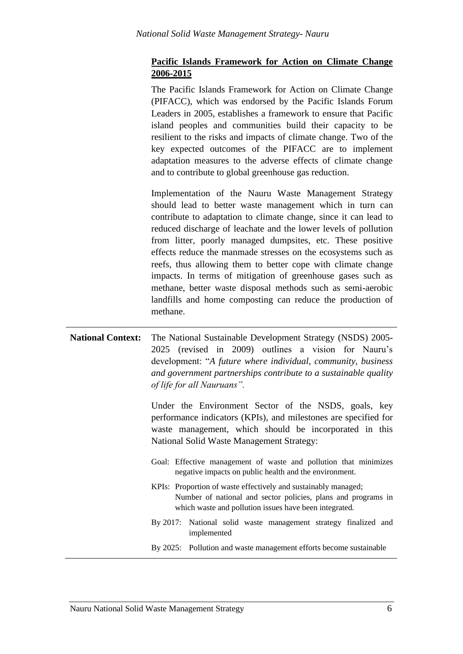### **Pacific Islands Framework for Action on Climate Change 2006-2015**

The Pacific Islands Framework for Action on Climate Change (PIFACC), which was endorsed by the Pacific Islands Forum Leaders in 2005, establishes a framework to ensure that Pacific island peoples and communities build their capacity to be resilient to the risks and impacts of climate change. Two of the key expected outcomes of the PIFACC are to implement adaptation measures to the adverse effects of climate change and to contribute to global greenhouse gas reduction.

Implementation of the Nauru Waste Management Strategy should lead to better waste management which in turn can contribute to adaptation to climate change, since it can lead to reduced discharge of leachate and the lower levels of pollution from litter, poorly managed dumpsites, etc. These positive effects reduce the manmade stresses on the ecosystems such as reefs, thus allowing them to better cope with climate change impacts. In terms of mitigation of greenhouse gases such as methane, better waste disposal methods such as semi-aerobic landfills and home composting can reduce the production of methane.

| <b>National Context:</b>                                                                                                                                                                                                       | The National Sustainable Development Strategy (NSDS) 2005-<br>2025 (revised in 2009) outlines a vision for Nauru's<br>development: "A future where individual, community, business<br>and government partnerships contribute to a sustainable quality<br>of life for all Nauruans". |
|--------------------------------------------------------------------------------------------------------------------------------------------------------------------------------------------------------------------------------|-------------------------------------------------------------------------------------------------------------------------------------------------------------------------------------------------------------------------------------------------------------------------------------|
| Under the Environment Sector of the NSDS, goals, key<br>performance indicators (KPIs), and milestones are specified for<br>waste management, which should be incorporated in this<br>National Solid Waste Management Strategy: |                                                                                                                                                                                                                                                                                     |
|                                                                                                                                                                                                                                | Goal: Effective management of waste and pollution that minimizes<br>negative impacts on public health and the environment.                                                                                                                                                          |
|                                                                                                                                                                                                                                | <u> UDI</u> . Dragontian of mosts offectively and quetainship measonal.                                                                                                                                                                                                             |

- KPIs: Proportion of waste effectively and sustainably managed; Number of national and sector policies, plans and programs in which waste and pollution issues have been integrated.
- By 2017: National solid waste management strategy finalized and implemented
- By 2025: Pollution and waste management efforts become sustainable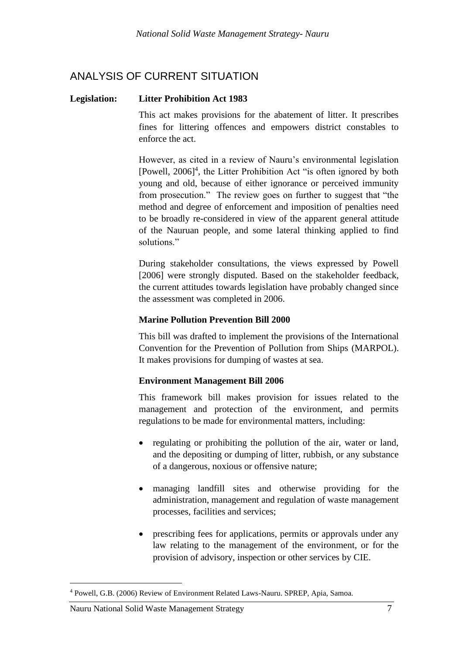## <span id="page-12-0"></span>ANALYSIS OF CURRENT SITUATION

#### **Legislation: Litter Prohibition Act 1983**

This act makes provisions for the abatement of litter. It prescribes fines for littering offences and empowers district constables to enforce the act.

However, as cited in a review of Nauru's environmental legislation [Powell, 2006] 4 , the Litter Prohibition Act "is often ignored by both young and old, because of either ignorance or perceived immunity from prosecution." The review goes on further to suggest that "the method and degree of enforcement and imposition of penalties need to be broadly re-considered in view of the apparent general attitude of the Nauruan people, and some lateral thinking applied to find solutions."

During stakeholder consultations, the views expressed by Powell [2006] were strongly disputed. Based on the stakeholder feedback, the current attitudes towards legislation have probably changed since the assessment was completed in 2006.

### **Marine Pollution Prevention Bill 2000**

This bill was drafted to implement the provisions of the International Convention for the Prevention of Pollution from Ships (MARPOL). It makes provisions for dumping of wastes at sea.

#### **Environment Management Bill 2006**

This framework bill makes provision for issues related to the management and protection of the environment, and permits regulations to be made for environmental matters, including:

- regulating or prohibiting the pollution of the air, water or land, and the depositing or dumping of litter, rubbish, or any substance of a dangerous, noxious or offensive nature;
- managing landfill sites and otherwise providing for the administration, management and regulation of waste management processes, facilities and services;
- prescribing fees for applications, permits or approvals under any law relating to the management of the environment, or for the provision of advisory, inspection or other services by CIE.

<sup>4</sup> Powell, G.B. (2006) Review of Environment Related Laws-Nauru. SPREP, Apia, Samoa.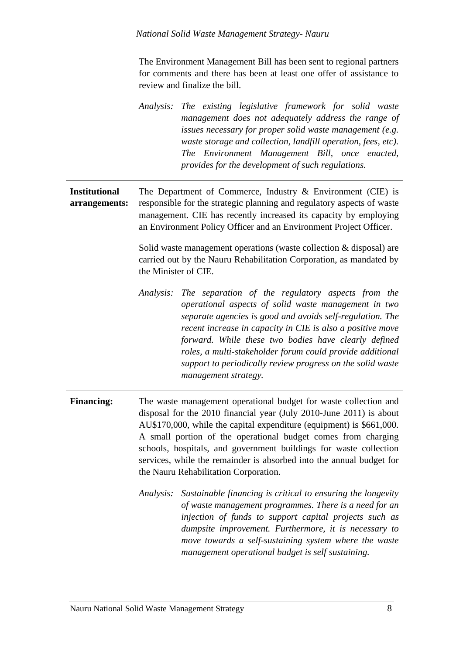The Environment Management Bill has been sent to regional partners for comments and there has been at least one offer of assistance to review and finalize the bill.

|                                       | The existing legislative framework for solid waste<br>Analysis:<br>management does not adequately address the range of<br>issues necessary for proper solid waste management (e.g.<br>waste storage and collection, landfill operation, fees, etc).<br>The Environment Management Bill, once enacted,<br>provides for the development of such regulations.                                                                                                             |  |  |
|---------------------------------------|------------------------------------------------------------------------------------------------------------------------------------------------------------------------------------------------------------------------------------------------------------------------------------------------------------------------------------------------------------------------------------------------------------------------------------------------------------------------|--|--|
| <b>Institutional</b><br>arrangements: | The Department of Commerce, Industry $\&$ Environment (CIE) is<br>responsible for the strategic planning and regulatory aspects of waste<br>management. CIE has recently increased its capacity by employing<br>an Environment Policy Officer and an Environment Project Officer.<br>Solid waste management operations (waste collection $&$ disposal) are<br>carried out by the Nauru Rehabilitation Corporation, as mandated by<br>the Minister of CIE.              |  |  |
|                                       | The separation of the regulatory aspects from the<br>Analysis:<br>operational aspects of solid waste management in two<br>separate agencies is good and avoids self-regulation. The<br>recent increase in capacity in CIE is also a positive move<br>forward. While these two bodies have clearly defined<br>roles, a multi-stakeholder forum could provide additional<br>support to periodically review progress on the solid waste<br>management strategy.           |  |  |
| <b>Financing:</b>                     | The waste management operational budget for waste collection and<br>disposal for the 2010 financial year (July 2010-June 2011) is about<br>AU\$170,000, while the capital expenditure (equipment) is \$661,000.<br>A small portion of the operational budget comes from charging<br>schools, hospitals, and government buildings for waste collection<br>services, while the remainder is absorbed into the annual budget for<br>the Nauru Rehabilitation Corporation. |  |  |
|                                       | Sustainable financing is critical to ensuring the longevity<br>Analysis:<br>of waste management programmes. There is a need for an<br>injection of funds to support capital projects such as<br>dumpsite improvement. Furthermore, it is necessary to<br>move towards a self-sustaining system where the waste<br>management operational budget is self sustaining.                                                                                                    |  |  |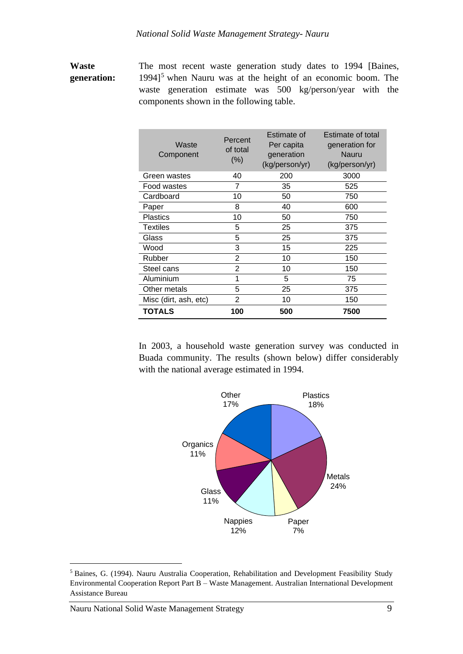### **Waste generation:**

The most recent waste generation study dates to 1994 [Baines,  $1994$ <sup>5</sup> when Nauru was at the height of an economic boom. The waste generation estimate was 500 kg/person/year with the components shown in the following table.

| Waste<br>Component    | Percent<br>of total<br>$(\%)$ | Estimate of<br>Per capita<br>generation<br>(kg/person/yr) | Estimate of total<br>generation for<br>Nauru<br>(kg/person/yr) |
|-----------------------|-------------------------------|-----------------------------------------------------------|----------------------------------------------------------------|
| Green wastes          | 40                            | 200                                                       | 3000                                                           |
| Food wastes           | 7                             | 35                                                        | 525                                                            |
| Cardboard             | 10                            | 50                                                        | 750                                                            |
| Paper                 | 8                             | 40                                                        | 600                                                            |
| <b>Plastics</b>       | 10                            | 50                                                        | 750                                                            |
| <b>Textiles</b>       | 5                             | 25                                                        | 375                                                            |
| Glass                 | 5                             | 25                                                        | 375                                                            |
| Wood                  | 3                             | 15                                                        | 225                                                            |
| Rubber                | 2                             | 10                                                        | 150                                                            |
| Steel cans            | $\overline{2}$                | 10                                                        | 150                                                            |
| Aluminium             | 1                             | 5                                                         | 75                                                             |
| Other metals          | 5                             | 25                                                        | 375                                                            |
| Misc (dirt, ash, etc) | $\overline{2}$                | 10                                                        | 150                                                            |
| TOTALS                | 100                           | 500                                                       | 7500                                                           |

In 2003, a household waste generation survey was conducted in Buada community. The results (shown below) differ considerably with the national average estimated in 1994.



<sup>5</sup> Baines, G. (1994). Nauru Australia Cooperation, Rehabilitation and Development Feasibility Study Environmental Cooperation Report Part B – Waste Management. Australian International Development Assistance Bureau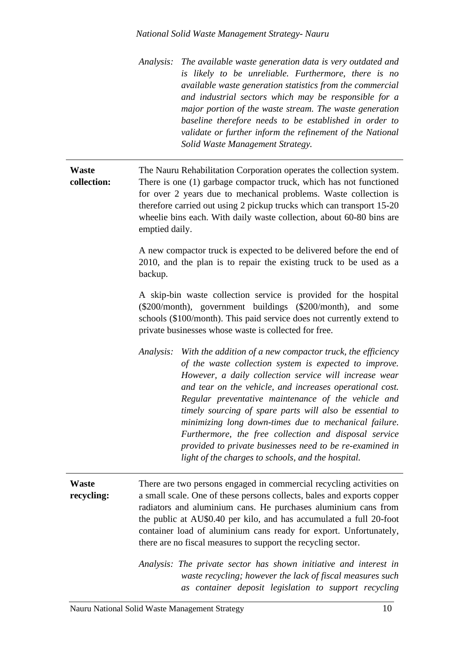#### *National Solid Waste Management Strategy- Nauru*

*Analysis: The available waste generation data is very outdated and is likely to be unreliable. Furthermore, there is no available waste generation statistics from the commercial and industrial sectors which may be responsible for a major portion of the waste stream. The waste generation baseline therefore needs to be established in order to validate or further inform the refinement of the National Solid Waste Management Strategy.*

#### **Waste collection:** The Nauru Rehabilitation Corporation operates the collection system. There is one (1) garbage compactor truck, which has not functioned for over 2 years due to mechanical problems. Waste collection is therefore carried out using 2 pickup trucks which can transport 15-20 wheelie bins each. With daily waste collection, about 60-80 bins are emptied daily.

A new compactor truck is expected to be delivered before the end of 2010, and the plan is to repair the existing truck to be used as a backup.

A skip-bin waste collection service is provided for the hospital (\$200/month), government buildings (\$200/month), and some schools (\$100/month). This paid service does not currently extend to private businesses whose waste is collected for free.

*Analysis: With the addition of a new compactor truck, the efficiency of the waste collection system is expected to improve. However, a daily collection service will increase wear and tear on the vehicle, and increases operational cost. Regular preventative maintenance of the vehicle and timely sourcing of spare parts will also be essential to minimizing long down-times due to mechanical failure. Furthermore, the free collection and disposal service provided to private businesses need to be re-examined in light of the charges to schools, and the hospital.*

**Waste recycling:** There are two persons engaged in commercial recycling activities on a small scale. One of these persons collects, bales and exports copper radiators and aluminium cans. He purchases aluminium cans from the public at AU\$0.40 per kilo, and has accumulated a full 20-foot container load of aluminium cans ready for export. Unfortunately, there are no fiscal measures to support the recycling sector.

> *Analysis: The private sector has shown initiative and interest in waste recycling; however the lack of fiscal measures such as container deposit legislation to support recycling*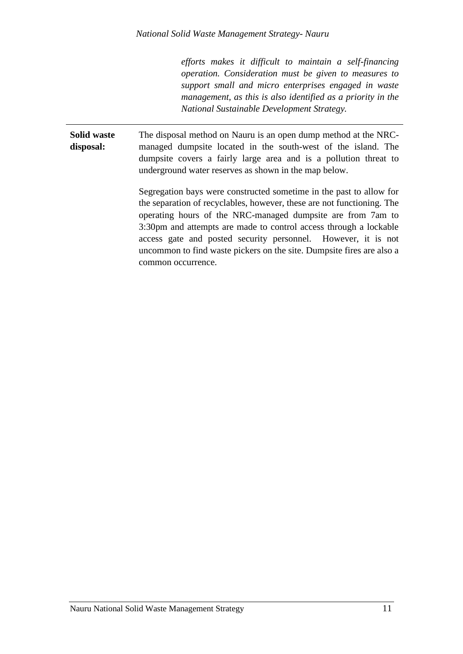*efforts makes it difficult to maintain a self-financing operation. Consideration must be given to measures to support small and micro enterprises engaged in waste management, as this is also identified as a priority in the National Sustainable Development Strategy.* 

**Solid waste disposal:** The disposal method on Nauru is an open dump method at the NRCmanaged dumpsite located in the south-west of the island. The dumpsite covers a fairly large area and is a pollution threat to underground water reserves as shown in the map below.

> Segregation bays were constructed sometime in the past to allow for the separation of recyclables, however, these are not functioning. The operating hours of the NRC-managed dumpsite are from 7am to 3:30pm and attempts are made to control access through a lockable access gate and posted security personnel. However, it is not uncommon to find waste pickers on the site. Dumpsite fires are also a common occurrence.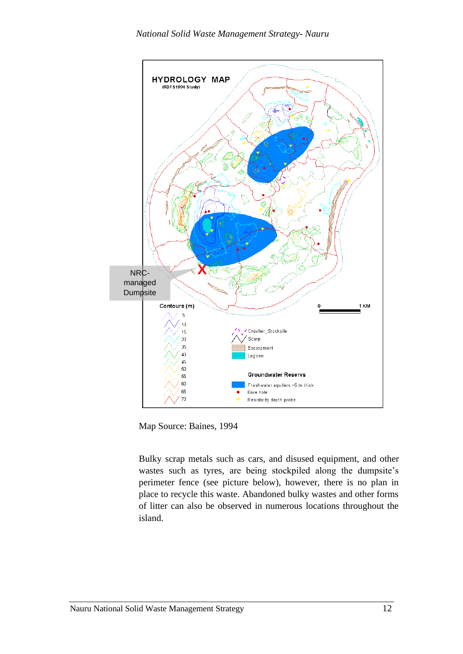

Map Source: Baines, 1994

Bulky scrap metals such as cars, and disused equipment, and other wastes such as tyres, are being stockpiled along the dumpsite's perimeter fence (see picture below), however, there is no plan in place to recycle this waste. Abandoned bulky wastes and other forms of litter can also be observed in numerous locations throughout the island.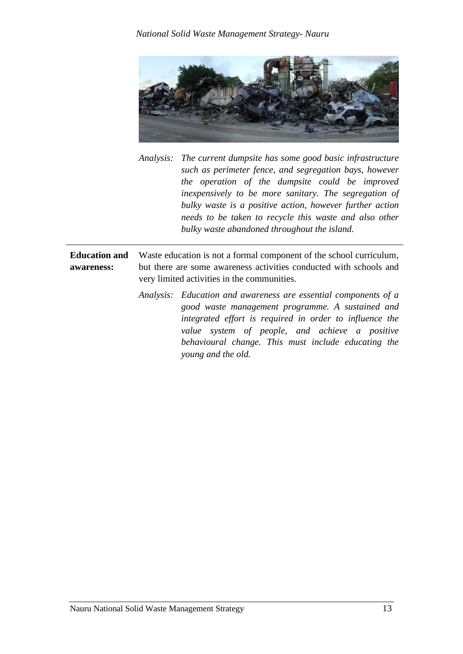

*Analysis: The current dumpsite has some good basic infrastructure such as perimeter fence, and segregation bays, however the operation of the dumpsite could be improved inexpensively to be more sanitary. The segregation of bulky waste is a positive action, however further action needs to be taken to recycle this waste and also other bulky waste abandoned throughout the island.*

**Education and awareness:** Waste education is not a formal component of the school curriculum, but there are some awareness activities conducted with schools and very limited activities in the communities.

> *Analysis: Education and awareness are essential components of a good waste management programme. A sustained and integrated effort is required in order to influence the value system of people, and achieve a positive behavioural change. This must include educating the young and the old.*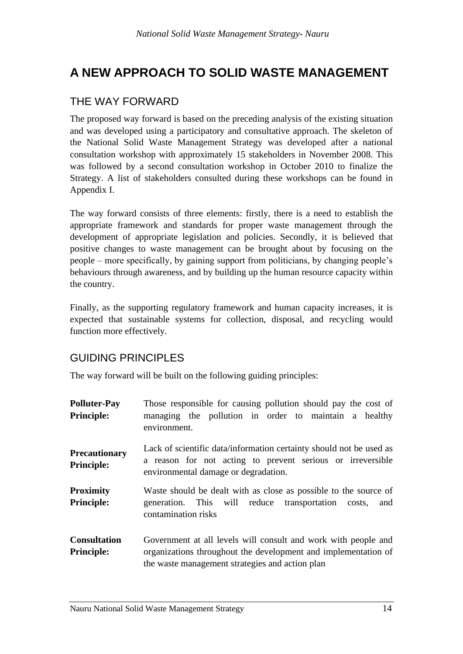# <span id="page-19-0"></span>**A NEW APPROACH TO SOLID WASTE MANAGEMENT**

# <span id="page-19-1"></span>THE WAY FORWARD

The proposed way forward is based on the preceding analysis of the existing situation and was developed using a participatory and consultative approach. The skeleton of the National Solid Waste Management Strategy was developed after a national consultation workshop with approximately 15 stakeholders in November 2008. This was followed by a second consultation workshop in October 2010 to finalize the Strategy. A list of stakeholders consulted during these workshops can be found in Appendix I.

The way forward consists of three elements: firstly, there is a need to establish the appropriate framework and standards for proper waste management through the development of appropriate legislation and policies. Secondly, it is believed that positive changes to waste management can be brought about by focusing on the people – more specifically, by gaining support from politicians, by changing people's behaviours through awareness, and by building up the human resource capacity within the country.

Finally, as the supporting regulatory framework and human capacity increases, it is expected that sustainable systems for collection, disposal, and recycling would function more effectively.

# <span id="page-19-2"></span>GUIDING PRINCIPLES

The way forward will be built on the following guiding principles:

| <b>Polluter-Pay</b><br><b>Principle:</b>  | Those responsible for causing pollution should pay the cost of<br>managing the pollution in order to maintain a healthy<br>environment.                                             |
|-------------------------------------------|-------------------------------------------------------------------------------------------------------------------------------------------------------------------------------------|
| <b>Precautionary</b><br><b>Principle:</b> | Lack of scientific data/information certainty should not be used as<br>a reason for not acting to prevent serious or irreversible<br>environmental damage or degradation.           |
| <b>Proximity</b><br><b>Principle:</b>     | Waste should be dealt with as close as possible to the source of<br>generation. This will reduce transportation costs,<br>and<br>contamination risks                                |
| <b>Consultation</b><br><b>Principle:</b>  | Government at all levels will consult and work with people and<br>organizations throughout the development and implementation of<br>the waste management strategies and action plan |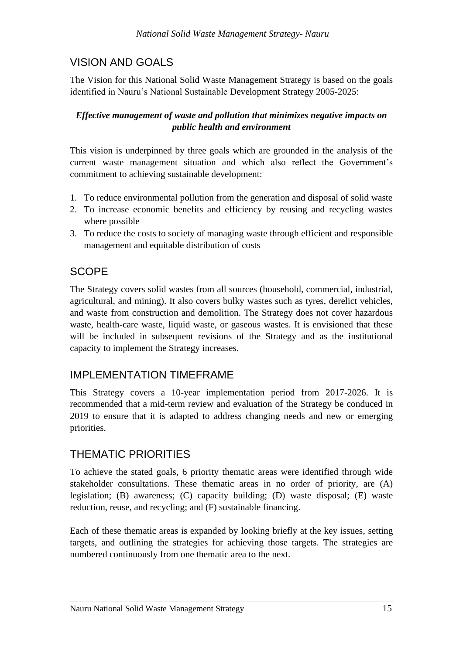# <span id="page-20-0"></span>VISION AND GOALS

The Vision for this National Solid Waste Management Strategy is based on the goals identified in Nauru's National Sustainable Development Strategy 2005-2025:

### *Effective management of waste and pollution that minimizes negative impacts on public health and environment*

This vision is underpinned by three goals which are grounded in the analysis of the current waste management situation and which also reflect the Government's commitment to achieving sustainable development:

- 1. To reduce environmental pollution from the generation and disposal of solid waste
- 2. To increase economic benefits and efficiency by reusing and recycling wastes where possible
- 3. To reduce the costs to society of managing waste through efficient and responsible management and equitable distribution of costs

# <span id="page-20-1"></span>**SCOPE**

The Strategy covers solid wastes from all sources (household, commercial, industrial, agricultural, and mining). It also covers bulky wastes such as tyres, derelict vehicles, and waste from construction and demolition. The Strategy does not cover hazardous waste, health-care waste, liquid waste, or gaseous wastes. It is envisioned that these will be included in subsequent revisions of the Strategy and as the institutional capacity to implement the Strategy increases.

## <span id="page-20-2"></span>IMPLEMENTATION TIMEFRAME

This Strategy covers a 10-year implementation period from 2017-2026. It is recommended that a mid-term review and evaluation of the Strategy be conduced in 2019 to ensure that it is adapted to address changing needs and new or emerging priorities.

# <span id="page-20-3"></span>THEMATIC PRIORITIES

To achieve the stated goals, 6 priority thematic areas were identified through wide stakeholder consultations. These thematic areas in no order of priority, are (A) legislation; (B) awareness; (C) capacity building; (D) waste disposal; (E) waste reduction, reuse, and recycling; and (F) sustainable financing.

Each of these thematic areas is expanded by looking briefly at the key issues, setting targets, and outlining the strategies for achieving those targets. The strategies are numbered continuously from one thematic area to the next.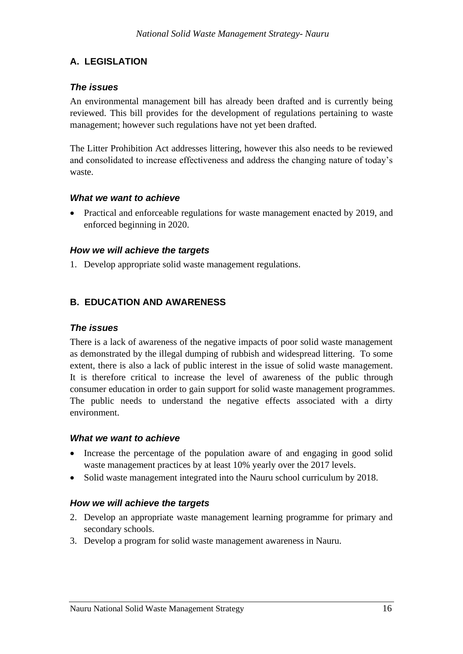### <span id="page-21-0"></span>**A. LEGISLATION**

### *The issues*

An environmental management bill has already been drafted and is currently being reviewed. This bill provides for the development of regulations pertaining to waste management; however such regulations have not yet been drafted.

The Litter Prohibition Act addresses littering, however this also needs to be reviewed and consolidated to increase effectiveness and address the changing nature of today's waste.

#### *What we want to achieve*

• Practical and enforceable regulations for waste management enacted by 2019, and enforced beginning in 2020.

#### *How we will achieve the targets*

1. Develop appropriate solid waste management regulations.

### <span id="page-21-1"></span>**B. EDUCATION AND AWARENESS**

#### *The issues*

There is a lack of awareness of the negative impacts of poor solid waste management as demonstrated by the illegal dumping of rubbish and widespread littering. To some extent, there is also a lack of public interest in the issue of solid waste management. It is therefore critical to increase the level of awareness of the public through consumer education in order to gain support for solid waste management programmes. The public needs to understand the negative effects associated with a dirty environment.

#### *What we want to achieve*

- Increase the percentage of the population aware of and engaging in good solid waste management practices by at least 10% yearly over the 2017 levels.
- Solid waste management integrated into the Nauru school curriculum by 2018.

#### *How we will achieve the targets*

- 2. Develop an appropriate waste management learning programme for primary and secondary schools.
- 3. Develop a program for solid waste management awareness in Nauru.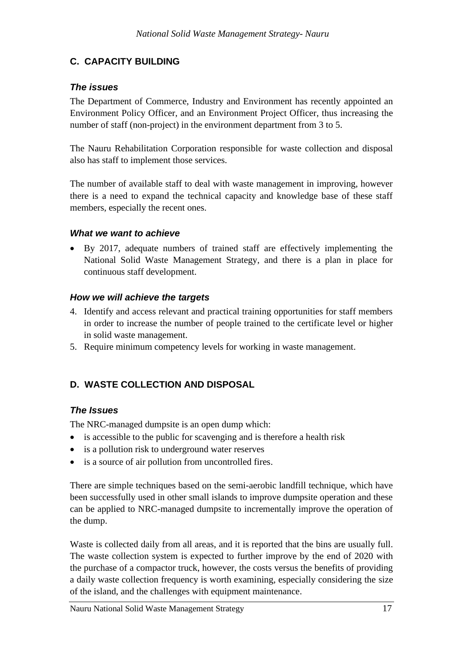## <span id="page-22-0"></span>**C. CAPACITY BUILDING**

### *The issues*

The Department of Commerce, Industry and Environment has recently appointed an Environment Policy Officer, and an Environment Project Officer, thus increasing the number of staff (non-project) in the environment department from 3 to 5.

The Nauru Rehabilitation Corporation responsible for waste collection and disposal also has staff to implement those services.

The number of available staff to deal with waste management in improving, however there is a need to expand the technical capacity and knowledge base of these staff members, especially the recent ones.

### *What we want to achieve*

• By 2017, adequate numbers of trained staff are effectively implementing the National Solid Waste Management Strategy, and there is a plan in place for continuous staff development.

### *How we will achieve the targets*

- 4. Identify and access relevant and practical training opportunities for staff members in order to increase the number of people trained to the certificate level or higher in solid waste management.
- 5. Require minimum competency levels for working in waste management.

## <span id="page-22-1"></span>**D. WASTE COLLECTION AND DISPOSAL**

### *The Issues*

The NRC-managed dumpsite is an open dump which:

- is accessible to the public for scavenging and is therefore a health risk
- is a pollution risk to underground water reserves
- is a source of air pollution from uncontrolled fires.

There are simple techniques based on the semi-aerobic landfill technique, which have been successfully used in other small islands to improve dumpsite operation and these can be applied to NRC-managed dumpsite to incrementally improve the operation of the dump.

Waste is collected daily from all areas, and it is reported that the bins are usually full. The waste collection system is expected to further improve by the end of 2020 with the purchase of a compactor truck, however, the costs versus the benefits of providing a daily waste collection frequency is worth examining, especially considering the size of the island, and the challenges with equipment maintenance.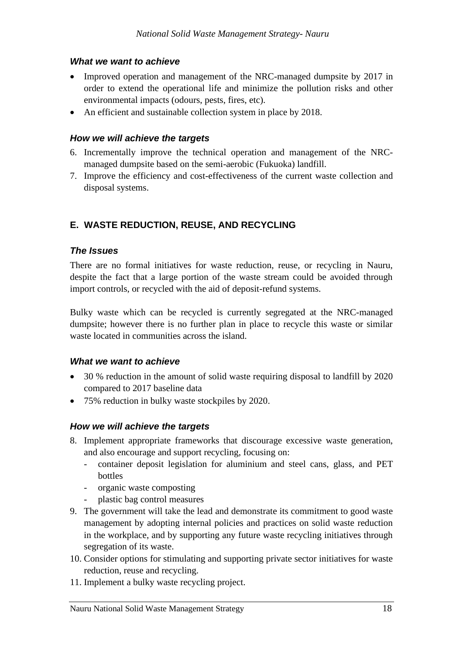### *What we want to achieve*

- Improved operation and management of the NRC-managed dumpsite by 2017 in order to extend the operational life and minimize the pollution risks and other environmental impacts (odours, pests, fires, etc).
- An efficient and sustainable collection system in place by 2018.

### *How we will achieve the targets*

- 6. Incrementally improve the technical operation and management of the NRCmanaged dumpsite based on the semi-aerobic (Fukuoka) landfill.
- 7. Improve the efficiency and cost-effectiveness of the current waste collection and disposal systems.

### <span id="page-23-0"></span>**E. WASTE REDUCTION, REUSE, AND RECYCLING**

### *The Issues*

There are no formal initiatives for waste reduction, reuse, or recycling in Nauru, despite the fact that a large portion of the waste stream could be avoided through import controls, or recycled with the aid of deposit-refund systems.

Bulky waste which can be recycled is currently segregated at the NRC-managed dumpsite; however there is no further plan in place to recycle this waste or similar waste located in communities across the island.

#### *What we want to achieve*

- 30 % reduction in the amount of solid waste requiring disposal to landfill by 2020 compared to 2017 baseline data
- 75% reduction in bulky waste stockpiles by 2020.

### *How we will achieve the targets*

- 8. Implement appropriate frameworks that discourage excessive waste generation, and also encourage and support recycling, focusing on:
	- container deposit legislation for aluminium and steel cans, glass, and PET bottles
	- organic waste composting
	- plastic bag control measures
- 9. The government will take the lead and demonstrate its commitment to good waste management by adopting internal policies and practices on solid waste reduction in the workplace, and by supporting any future waste recycling initiatives through segregation of its waste.
- 10. Consider options for stimulating and supporting private sector initiatives for waste reduction, reuse and recycling.
- 11. Implement a bulky waste recycling project.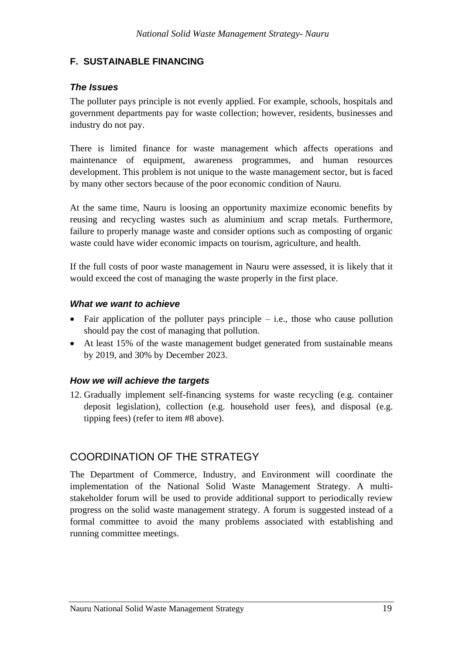### <span id="page-24-0"></span>**F. SUSTAINABLE FINANCING**

### *The Issues*

The polluter pays principle is not evenly applied. For example, schools, hospitals and government departments pay for waste collection; however, residents, businesses and industry do not pay.

There is limited finance for waste management which affects operations and maintenance of equipment, awareness programmes, and human resources development. This problem is not unique to the waste management sector, but is faced by many other sectors because of the poor economic condition of Nauru.

At the same time, Nauru is loosing an opportunity maximize economic benefits by reusing and recycling wastes such as aluminium and scrap metals. Furthermore, failure to properly manage waste and consider options such as composting of organic waste could have wider economic impacts on tourism, agriculture, and health.

If the full costs of poor waste management in Nauru were assessed, it is likely that it would exceed the cost of managing the waste properly in the first place.

#### *What we want to achieve*

- Fair application of the polluter pays principle  $-$  i.e., those who cause pollution should pay the cost of managing that pollution.
- At least 15% of the waste management budget generated from sustainable means by 2019, and 30% by December 2023.

#### *How we will achieve the targets*

12. Gradually implement self-financing systems for waste recycling (e.g. container deposit legislation), collection (e.g. household user fees), and disposal (e.g. tipping fees) (refer to item #8 above).

## <span id="page-24-1"></span>COORDINATION OF THE STRATEGY

The Department of Commerce, Industry, and Environment will coordinate the implementation of the National Solid Waste Management Strategy. A multistakeholder forum will be used to provide additional support to periodically review progress on the solid waste management strategy. A forum is suggested instead of a formal committee to avoid the many problems associated with establishing and running committee meetings.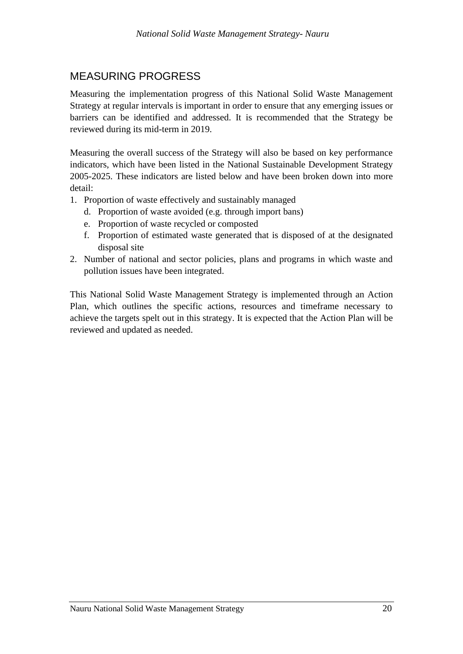## <span id="page-25-0"></span>MEASURING PROGRESS

Measuring the implementation progress of this National Solid Waste Management Strategy at regular intervals is important in order to ensure that any emerging issues or barriers can be identified and addressed. It is recommended that the Strategy be reviewed during its mid-term in 2019.

Measuring the overall success of the Strategy will also be based on key performance indicators, which have been listed in the National Sustainable Development Strategy 2005-2025. These indicators are listed below and have been broken down into more detail:

- 1. Proportion of waste effectively and sustainably managed
	- d. Proportion of waste avoided (e.g. through import bans)
	- e. Proportion of waste recycled or composted
	- f. Proportion of estimated waste generated that is disposed of at the designated disposal site
- 2. Number of national and sector policies, plans and programs in which waste and pollution issues have been integrated.

This National Solid Waste Management Strategy is implemented through an Action Plan, which outlines the specific actions, resources and timeframe necessary to achieve the targets spelt out in this strategy. It is expected that the Action Plan will be reviewed and updated as needed.